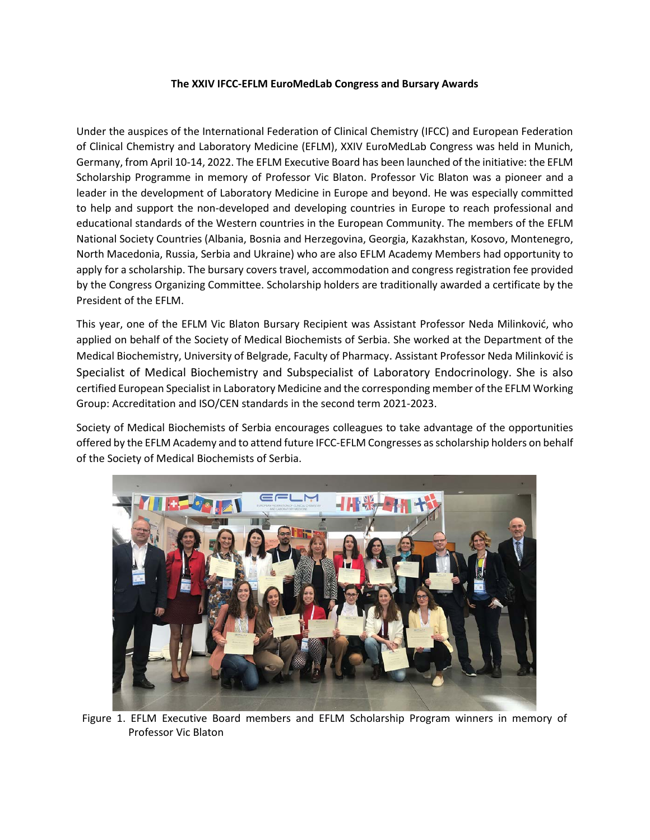## **The XXIV IFCC-EFLM EuroMedLab Congress and Bursary Awards**

Under the auspices of the International Federation of Clinical Chemistry (IFCC) and European Federation of Clinical Chemistry and Laboratory Medicine (EFLM), XXIV EuroMedLab Congress was held in Munich, Germany, from April 10-14, 2022. The EFLM Executive Board has been launched of the initiative: the EFLM Scholarship Programme in memory of Professor Vic Blaton. Professor Vic Blaton was a pioneer and a leader in the development of Laboratory Medicine in Europe and beyond. He was especially committed to help and support the non-developed and developing countries in Europe to reach professional and educational standards of the Western countries in the European Community. The members of the EFLM National Society Countries (Albania, Bosnia and Herzegovina, Georgia, Kazakhstan, Kosovo, Montenegro, North Macedonia, Russia, Serbia and Ukraine) who are also EFLM Academy Members had opportunity to apply for a scholarship. The bursary covers travel, accommodation and congress registration fee provided by the Congress Organizing Committee. Scholarship holders are traditionally awarded a certificate by the President of the EFLM.

This year, one of the EFLM Vic Blaton Bursary Recipient was Assistant Professor Neda Milinković, who applied on behalf of the Society of Medical Biochemists of Serbia. She worked at the Department of the Medical Biochemistry, University of Belgrade, Faculty of Pharmacy. Assistant Professor Neda Milinković is Specialist of Medical Biochemistry and Subspecialist of Laboratory Endocrinology. She is also certified European Specialist in Laboratory Medicine and the corresponding member of the EFLM Working Group: Accreditation and ISO/CEN standards in the second term 2021-2023.

Society of Medical Biochemists of Serbia encourages colleagues to take advantage of the opportunities offered by the EFLM Academy and to attend future IFCC-EFLM Congresses as scholarship holders on behalf of the Society of Medical Biochemists of Serbia.



Figure 1. EFLM Executive Board members and EFLM Scholarship Program winners in memory of Professor Vic Blaton